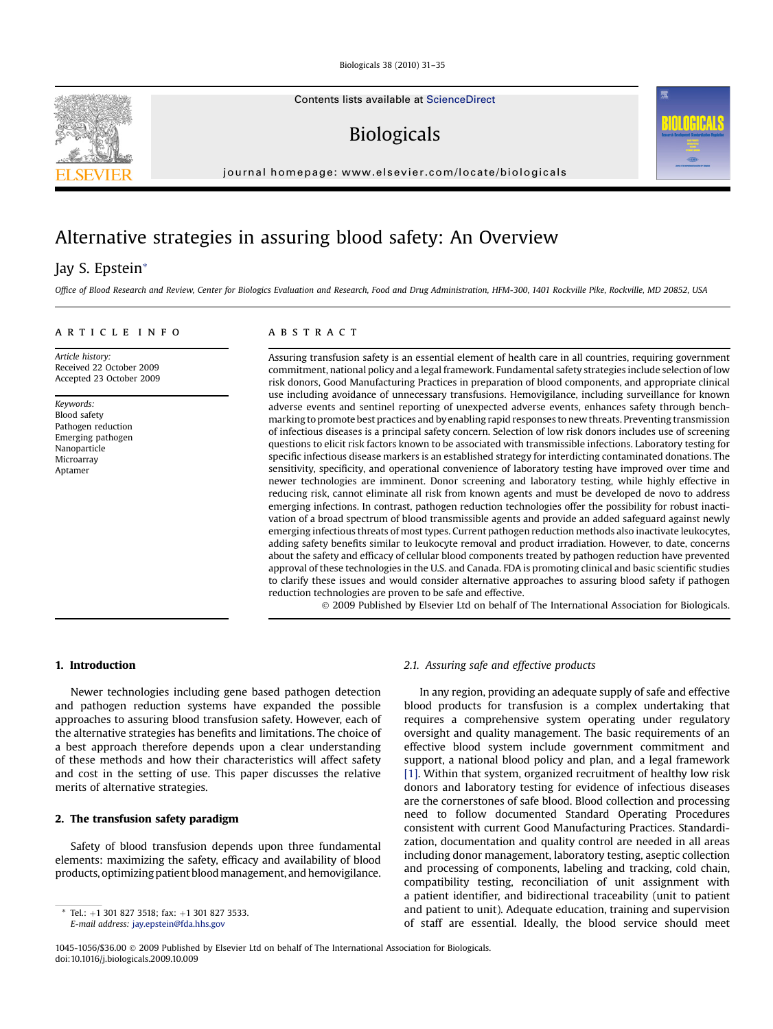Biologicals 38 (2010) 31–35

Contents lists available at [ScienceDirect](www.sciencedirect.com/science/journal/10451056)

Biologicals

journal homepage: [www.elsevier.com/locate/biologicals](http://www.elsevier.com/locate/biologicals)

# Alternative strategies in assuring blood safety: An Overview

# Jay S. Epstein\*

Office of Blood Research and Review, Center for Biologics Evaluation and Research, Food and Drug Administration, HFM-300, 1401 Rockville Pike, Rockville, MD 20852, USA

#### article info

Article history: Received 22 October 2009 Accepted 23 October 2009

Keywords: Blood safety Pathogen reduction Emerging pathogen Nanoparticle Microarray Aptamer

# **ABSTRACT**

Assuring transfusion safety is an essential element of health care in all countries, requiring government commitment, national policy and a legal framework. Fundamental safety strategies include selection of low risk donors, Good Manufacturing Practices in preparation of blood components, and appropriate clinical use including avoidance of unnecessary transfusions. Hemovigilance, including surveillance for known adverse events and sentinel reporting of unexpected adverse events, enhances safety through benchmarking to promote best practices and by enabling rapid responses to new threats. Preventing transmission of infectious diseases is a principal safety concern. Selection of low risk donors includes use of screening questions to elicit risk factors known to be associated with transmissible infections. Laboratory testing for specific infectious disease markers is an established strategy for interdicting contaminated donations. The sensitivity, specificity, and operational convenience of laboratory testing have improved over time and newer technologies are imminent. Donor screening and laboratory testing, while highly effective in reducing risk, cannot eliminate all risk from known agents and must be developed de novo to address emerging infections. In contrast, pathogen reduction technologies offer the possibility for robust inactivation of a broad spectrum of blood transmissible agents and provide an added safeguard against newly emerging infectious threats of most types. Current pathogen reduction methods also inactivate leukocytes, adding safety benefits similar to leukocyte removal and product irradiation. However, to date, concerns about the safety and efficacy of cellular blood components treated by pathogen reduction have prevented approval of these technologies in the U.S. and Canada. FDA is promoting clinical and basic scientific studies to clarify these issues and would consider alternative approaches to assuring blood safety if pathogen reduction technologies are proven to be safe and effective.

- 2009 Published by Elsevier Ltd on behalf of The International Association for Biologicals.

# 1. Introduction

Newer technologies including gene based pathogen detection and pathogen reduction systems have expanded the possible approaches to assuring blood transfusion safety. However, each of the alternative strategies has benefits and limitations. The choice of a best approach therefore depends upon a clear understanding of these methods and how their characteristics will affect safety and cost in the setting of use. This paper discusses the relative merits of alternative strategies.

# 2. The transfusion safety paradigm

Safety of blood transfusion depends upon three fundamental elements: maximizing the safety, efficacy and availability of blood products, optimizing patient blood management, and hemovigilance.

## 2.1. Assuring safe and effective products

In any region, providing an adequate supply of safe and effective blood products for transfusion is a complex undertaking that requires a comprehensive system operating under regulatory oversight and quality management. The basic requirements of an effective blood system include government commitment and support, a national blood policy and plan, and a legal framework [\[1\]](#page-4-0). Within that system, organized recruitment of healthy low risk donors and laboratory testing for evidence of infectious diseases are the cornerstones of safe blood. Blood collection and processing need to follow documented Standard Operating Procedures consistent with current Good Manufacturing Practices. Standardization, documentation and quality control are needed in all areas including donor management, laboratory testing, aseptic collection and processing of components, labeling and tracking, cold chain, compatibility testing, reconciliation of unit assignment with a patient identifier, and bidirectional traceability (unit to patient and patient to unit). Adequate education, training and supervision of staff are essential. Ideally, the blood service should meet





Tel.: +1 301 827 3518; fax: +1 301 827 3533. E-mail address: [jay.epstein@fda.hhs.gov](mailto:jay.epstein@fda.hhs.gov)

<sup>1045-1056/\$36.00 © 2009</sup> Published by Elsevier Ltd on behalf of The International Association for Biologicals. doi:10.1016/j.biologicals.2009.10.009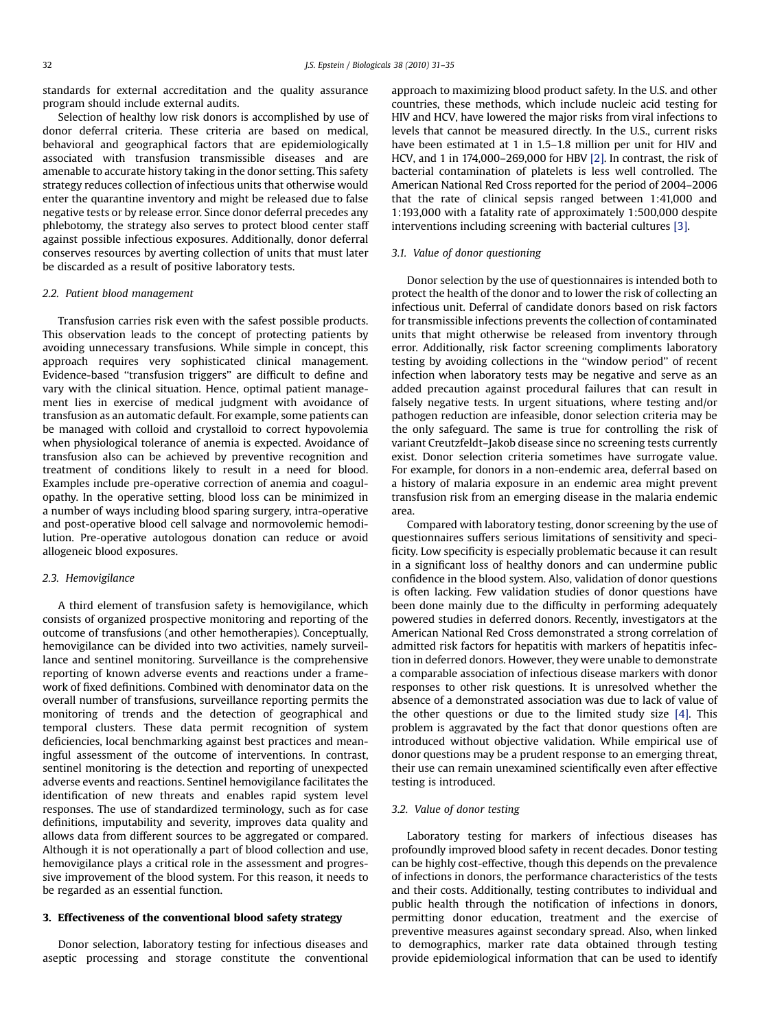standards for external accreditation and the quality assurance program should include external audits.

Selection of healthy low risk donors is accomplished by use of donor deferral criteria. These criteria are based on medical, behavioral and geographical factors that are epidemiologically associated with transfusion transmissible diseases and are amenable to accurate history taking in the donor setting. This safety strategy reduces collection of infectious units that otherwise would enter the quarantine inventory and might be released due to false negative tests or by release error. Since donor deferral precedes any phlebotomy, the strategy also serves to protect blood center staff against possible infectious exposures. Additionally, donor deferral conserves resources by averting collection of units that must later be discarded as a result of positive laboratory tests.

#### 2.2. Patient blood management

Transfusion carries risk even with the safest possible products. This observation leads to the concept of protecting patients by avoiding unnecessary transfusions. While simple in concept, this approach requires very sophisticated clinical management. Evidence-based ''transfusion triggers'' are difficult to define and vary with the clinical situation. Hence, optimal patient management lies in exercise of medical judgment with avoidance of transfusion as an automatic default. For example, some patients can be managed with colloid and crystalloid to correct hypovolemia when physiological tolerance of anemia is expected. Avoidance of transfusion also can be achieved by preventive recognition and treatment of conditions likely to result in a need for blood. Examples include pre-operative correction of anemia and coagulopathy. In the operative setting, blood loss can be minimized in a number of ways including blood sparing surgery, intra-operative and post-operative blood cell salvage and normovolemic hemodilution. Pre-operative autologous donation can reduce or avoid allogeneic blood exposures.

#### 2.3. Hemovigilance

A third element of transfusion safety is hemovigilance, which consists of organized prospective monitoring and reporting of the outcome of transfusions (and other hemotherapies). Conceptually, hemovigilance can be divided into two activities, namely surveillance and sentinel monitoring. Surveillance is the comprehensive reporting of known adverse events and reactions under a framework of fixed definitions. Combined with denominator data on the overall number of transfusions, surveillance reporting permits the monitoring of trends and the detection of geographical and temporal clusters. These data permit recognition of system deficiencies, local benchmarking against best practices and meaningful assessment of the outcome of interventions. In contrast, sentinel monitoring is the detection and reporting of unexpected adverse events and reactions. Sentinel hemovigilance facilitates the identification of new threats and enables rapid system level responses. The use of standardized terminology, such as for case definitions, imputability and severity, improves data quality and allows data from different sources to be aggregated or compared. Although it is not operationally a part of blood collection and use, hemovigilance plays a critical role in the assessment and progressive improvement of the blood system. For this reason, it needs to be regarded as an essential function.

## 3. Effectiveness of the conventional blood safety strategy

Donor selection, laboratory testing for infectious diseases and aseptic processing and storage constitute the conventional approach to maximizing blood product safety. In the U.S. and other countries, these methods, which include nucleic acid testing for HIV and HCV, have lowered the major risks from viral infections to levels that cannot be measured directly. In the U.S., current risks have been estimated at 1 in 1.5–1.8 million per unit for HIV and HCV, and 1 in 174,000–269,000 for HBV [\[2\].](#page-4-0) In contrast, the risk of bacterial contamination of platelets is less well controlled. The American National Red Cross reported for the period of 2004–2006 that the rate of clinical sepsis ranged between 1:41,000 and 1:193,000 with a fatality rate of approximately 1:500,000 despite interventions including screening with bacterial cultures [\[3\].](#page-4-0)

#### 3.1. Value of donor questioning

Donor selection by the use of questionnaires is intended both to protect the health of the donor and to lower the risk of collecting an infectious unit. Deferral of candidate donors based on risk factors for transmissible infections prevents the collection of contaminated units that might otherwise be released from inventory through error. Additionally, risk factor screening compliments laboratory testing by avoiding collections in the ''window period'' of recent infection when laboratory tests may be negative and serve as an added precaution against procedural failures that can result in falsely negative tests. In urgent situations, where testing and/or pathogen reduction are infeasible, donor selection criteria may be the only safeguard. The same is true for controlling the risk of variant Creutzfeldt–Jakob disease since no screening tests currently exist. Donor selection criteria sometimes have surrogate value. For example, for donors in a non-endemic area, deferral based on a history of malaria exposure in an endemic area might prevent transfusion risk from an emerging disease in the malaria endemic area.

Compared with laboratory testing, donor screening by the use of questionnaires suffers serious limitations of sensitivity and specificity. Low specificity is especially problematic because it can result in a significant loss of healthy donors and can undermine public confidence in the blood system. Also, validation of donor questions is often lacking. Few validation studies of donor questions have been done mainly due to the difficulty in performing adequately powered studies in deferred donors. Recently, investigators at the American National Red Cross demonstrated a strong correlation of admitted risk factors for hepatitis with markers of hepatitis infection in deferred donors. However, they were unable to demonstrate a comparable association of infectious disease markers with donor responses to other risk questions. It is unresolved whether the absence of a demonstrated association was due to lack of value of the other questions or due to the limited study size [\[4\].](#page-4-0) This problem is aggravated by the fact that donor questions often are introduced without objective validation. While empirical use of donor questions may be a prudent response to an emerging threat, their use can remain unexamined scientifically even after effective testing is introduced.

#### 3.2. Value of donor testing

Laboratory testing for markers of infectious diseases has profoundly improved blood safety in recent decades. Donor testing can be highly cost-effective, though this depends on the prevalence of infections in donors, the performance characteristics of the tests and their costs. Additionally, testing contributes to individual and public health through the notification of infections in donors, permitting donor education, treatment and the exercise of preventive measures against secondary spread. Also, when linked to demographics, marker rate data obtained through testing provide epidemiological information that can be used to identify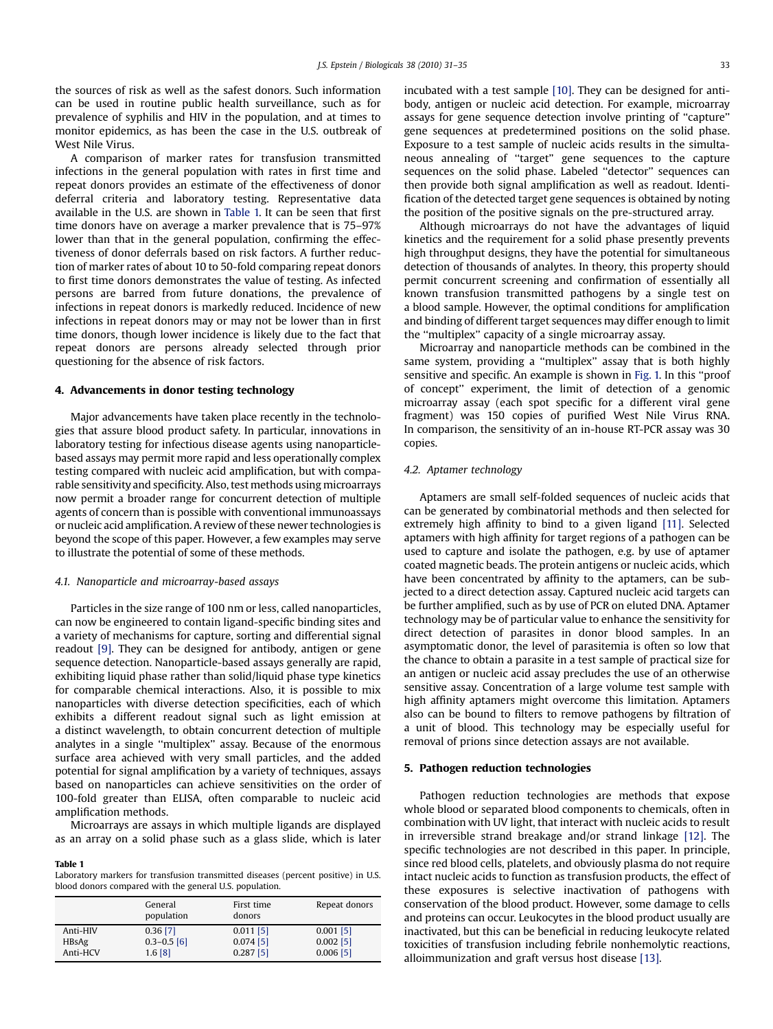the sources of risk as well as the safest donors. Such information can be used in routine public health surveillance, such as for prevalence of syphilis and HIV in the population, and at times to monitor epidemics, as has been the case in the U.S. outbreak of West Nile Virus.

A comparison of marker rates for transfusion transmitted infections in the general population with rates in first time and repeat donors provides an estimate of the effectiveness of donor deferral criteria and laboratory testing. Representative data available in the U.S. are shown in Table 1. It can be seen that first time donors have on average a marker prevalence that is 75–97% lower than that in the general population, confirming the effectiveness of donor deferrals based on risk factors. A further reduction of marker rates of about 10 to 50-fold comparing repeat donors to first time donors demonstrates the value of testing. As infected persons are barred from future donations, the prevalence of infections in repeat donors is markedly reduced. Incidence of new infections in repeat donors may or may not be lower than in first time donors, though lower incidence is likely due to the fact that repeat donors are persons already selected through prior questioning for the absence of risk factors.

#### 4. Advancements in donor testing technology

Major advancements have taken place recently in the technologies that assure blood product safety. In particular, innovations in laboratory testing for infectious disease agents using nanoparticlebased assays may permit more rapid and less operationally complex testing compared with nucleic acid amplification, but with comparable sensitivity and specificity. Also, test methods using microarrays now permit a broader range for concurrent detection of multiple agents of concern than is possible with conventional immunoassays or nucleic acid amplification. A review of these newer technologies is beyond the scope of this paper. However, a few examples may serve to illustrate the potential of some of these methods.

#### 4.1. Nanoparticle and microarray-based assays

Particles in the size range of 100 nm or less, called nanoparticles, can now be engineered to contain ligand-specific binding sites and a variety of mechanisms for capture, sorting and differential signal readout [\[9\].](#page-4-0) They can be designed for antibody, antigen or gene sequence detection. Nanoparticle-based assays generally are rapid, exhibiting liquid phase rather than solid/liquid phase type kinetics for comparable chemical interactions. Also, it is possible to mix nanoparticles with diverse detection specificities, each of which exhibits a different readout signal such as light emission at a distinct wavelength, to obtain concurrent detection of multiple analytes in a single ''multiplex'' assay. Because of the enormous surface area achieved with very small particles, and the added potential for signal amplification by a variety of techniques, assays based on nanoparticles can achieve sensitivities on the order of 100-fold greater than ELISA, often comparable to nucleic acid amplification methods.

Microarrays are assays in which multiple ligands are displayed as an array on a solid phase such as a glass slide, which is later

#### Table 1

Laboratory markers for transfusion transmitted diseases (percent positive) in U.S. blood donors compared with the general U.S. population.

|          | General<br>population | First time<br>donors | Repeat donors          |
|----------|-----------------------|----------------------|------------------------|
| Anti-HIV | $0.36$ [7]            | $0.011$ [5]          | $0.001$ [5]            |
| HBsAg    | $0.3 - 0.5$ [6]       | $0.074$ [5]          | $0.002$ [5]            |
| Anti-HCV | 1.6 [8]               | $0.287$ [5]          | $0.006$ <sup>[5]</sup> |

incubated with a test sample [\[10\].](#page-4-0) They can be designed for antibody, antigen or nucleic acid detection. For example, microarray assays for gene sequence detection involve printing of ''capture'' gene sequences at predetermined positions on the solid phase. Exposure to a test sample of nucleic acids results in the simultaneous annealing of ''target'' gene sequences to the capture sequences on the solid phase. Labeled ''detector'' sequences can then provide both signal amplification as well as readout. Identification of the detected target gene sequences is obtained by noting the position of the positive signals on the pre-structured array.

Although microarrays do not have the advantages of liquid kinetics and the requirement for a solid phase presently prevents high throughput designs, they have the potential for simultaneous detection of thousands of analytes. In theory, this property should permit concurrent screening and confirmation of essentially all known transfusion transmitted pathogens by a single test on a blood sample. However, the optimal conditions for amplification and binding of different target sequences may differ enough to limit the ''multiplex'' capacity of a single microarray assay.

Microarray and nanoparticle methods can be combined in the same system, providing a ''multiplex'' assay that is both highly sensitive and specific. An example is shown in [Fig. 1.](#page-3-0) In this ''proof of concept'' experiment, the limit of detection of a genomic microarray assay (each spot specific for a different viral gene fragment) was 150 copies of purified West Nile Virus RNA. In comparison, the sensitivity of an in-house RT-PCR assay was 30 copies.

#### 4.2. Aptamer technology

Aptamers are small self-folded sequences of nucleic acids that can be generated by combinatorial methods and then selected for extremely high affinity to bind to a given ligand [\[11\]](#page-4-0). Selected aptamers with high affinity for target regions of a pathogen can be used to capture and isolate the pathogen, e.g. by use of aptamer coated magnetic beads. The protein antigens or nucleic acids, which have been concentrated by affinity to the aptamers, can be subjected to a direct detection assay. Captured nucleic acid targets can be further amplified, such as by use of PCR on eluted DNA. Aptamer technology may be of particular value to enhance the sensitivity for direct detection of parasites in donor blood samples. In an asymptomatic donor, the level of parasitemia is often so low that the chance to obtain a parasite in a test sample of practical size for an antigen or nucleic acid assay precludes the use of an otherwise sensitive assay. Concentration of a large volume test sample with high affinity aptamers might overcome this limitation. Aptamers also can be bound to filters to remove pathogens by filtration of a unit of blood. This technology may be especially useful for removal of prions since detection assays are not available.

#### 5. Pathogen reduction technologies

Pathogen reduction technologies are methods that expose whole blood or separated blood components to chemicals, often in combination with UV light, that interact with nucleic acids to result in irreversible strand breakage and/or strand linkage [\[12\]](#page-4-0). The specific technologies are not described in this paper. In principle, since red blood cells, platelets, and obviously plasma do not require intact nucleic acids to function as transfusion products, the effect of these exposures is selective inactivation of pathogens with conservation of the blood product. However, some damage to cells and proteins can occur. Leukocytes in the blood product usually are inactivated, but this can be beneficial in reducing leukocyte related toxicities of transfusion including febrile nonhemolytic reactions, alloimmunization and graft versus host disease [\[13\]](#page-4-0).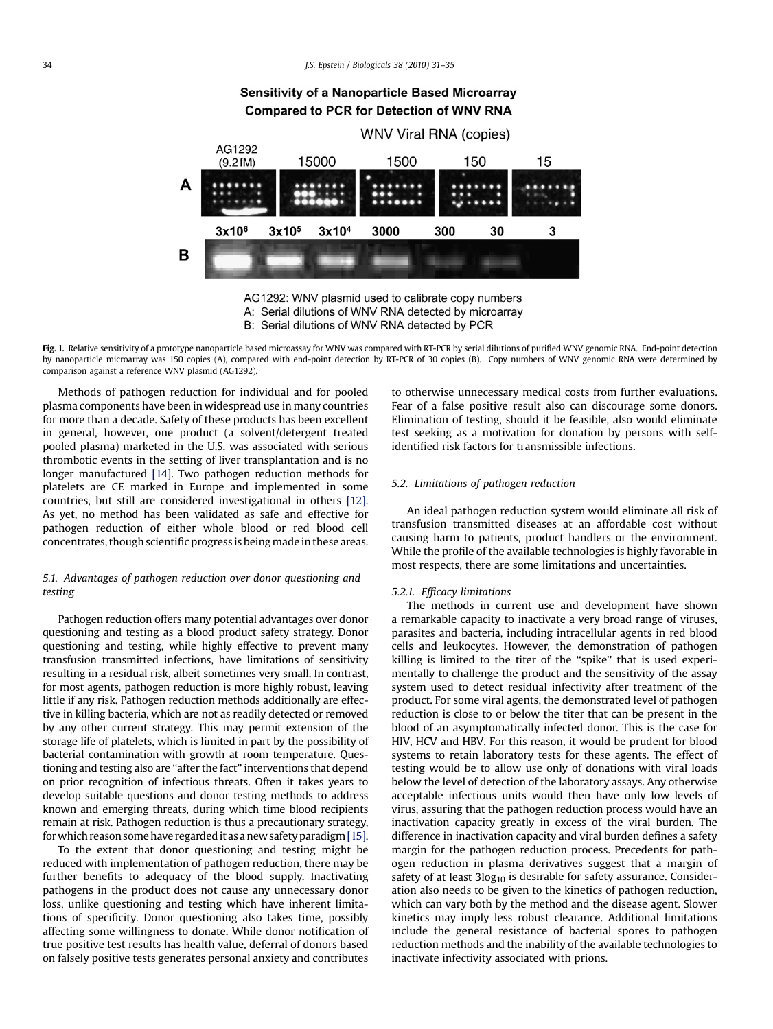<span id="page-3-0"></span>

AG1292: WNV plasmid used to calibrate copy numbers A: Serial dilutions of WNV RNA detected by microarray B: Serial dilutions of WNV RNA detected by PCR

Fig. 1. Relative sensitivity of a prototype nanoparticle based microassay for WNV was compared with RT-PCR by serial dilutions of purified WNV genomic RNA. End-point detection by nanoparticle microarray was 150 copies (A), compared with end-point detection by RT-PCR of 30 copies (B). Copy numbers of WNV genomic RNA were determined by comparison against a reference WNV plasmid (AG1292).

Methods of pathogen reduction for individual and for pooled plasma components have been in widespread use in many countries for more than a decade. Safety of these products has been excellent in general, however, one product (a solvent/detergent treated pooled plasma) marketed in the U.S. was associated with serious thrombotic events in the setting of liver transplantation and is no longer manufactured [\[14\].](#page-4-0) Two pathogen reduction methods for platelets are CE marked in Europe and implemented in some countries, but still are considered investigational in others [\[12\].](#page-4-0) As yet, no method has been validated as safe and effective for pathogen reduction of either whole blood or red blood cell concentrates, though scientific progress is beingmade in these areas.

# 5.1. Advantages of pathogen reduction over donor questioning and testing

Pathogen reduction offers many potential advantages over donor questioning and testing as a blood product safety strategy. Donor questioning and testing, while highly effective to prevent many transfusion transmitted infections, have limitations of sensitivity resulting in a residual risk, albeit sometimes very small. In contrast, for most agents, pathogen reduction is more highly robust, leaving little if any risk. Pathogen reduction methods additionally are effective in killing bacteria, which are not as readily detected or removed by any other current strategy. This may permit extension of the storage life of platelets, which is limited in part by the possibility of bacterial contamination with growth at room temperature. Questioning and testing also are ''after the fact'' interventions that depend on prior recognition of infectious threats. Often it takes years to develop suitable questions and donor testing methods to address known and emerging threats, during which time blood recipients remain at risk. Pathogen reduction is thus a precautionary strategy, for which reason some have regarded it as a new safety paradigm [\[15\]](#page-4-0).

To the extent that donor questioning and testing might be reduced with implementation of pathogen reduction, there may be further benefits to adequacy of the blood supply. Inactivating pathogens in the product does not cause any unnecessary donor loss, unlike questioning and testing which have inherent limitations of specificity. Donor questioning also takes time, possibly affecting some willingness to donate. While donor notification of true positive test results has health value, deferral of donors based on falsely positive tests generates personal anxiety and contributes to otherwise unnecessary medical costs from further evaluations. Fear of a false positive result also can discourage some donors. Elimination of testing, should it be feasible, also would eliminate test seeking as a motivation for donation by persons with selfidentified risk factors for transmissible infections.

#### 5.2. Limitations of pathogen reduction

An ideal pathogen reduction system would eliminate all risk of transfusion transmitted diseases at an affordable cost without causing harm to patients, product handlers or the environment. While the profile of the available technologies is highly favorable in most respects, there are some limitations and uncertainties.

#### 5.2.1. Efficacy limitations

The methods in current use and development have shown a remarkable capacity to inactivate a very broad range of viruses, parasites and bacteria, including intracellular agents in red blood cells and leukocytes. However, the demonstration of pathogen killing is limited to the titer of the ''spike'' that is used experimentally to challenge the product and the sensitivity of the assay system used to detect residual infectivity after treatment of the product. For some viral agents, the demonstrated level of pathogen reduction is close to or below the titer that can be present in the blood of an asymptomatically infected donor. This is the case for HIV, HCV and HBV. For this reason, it would be prudent for blood systems to retain laboratory tests for these agents. The effect of testing would be to allow use only of donations with viral loads below the level of detection of the laboratory assays. Any otherwise acceptable infectious units would then have only low levels of virus, assuring that the pathogen reduction process would have an inactivation capacity greatly in excess of the viral burden. The difference in inactivation capacity and viral burden defines a safety margin for the pathogen reduction process. Precedents for pathogen reduction in plasma derivatives suggest that a margin of safety of at least  $3\log_{10}$  is desirable for safety assurance. Consideration also needs to be given to the kinetics of pathogen reduction, which can vary both by the method and the disease agent. Slower kinetics may imply less robust clearance. Additional limitations include the general resistance of bacterial spores to pathogen reduction methods and the inability of the available technologies to inactivate infectivity associated with prions.